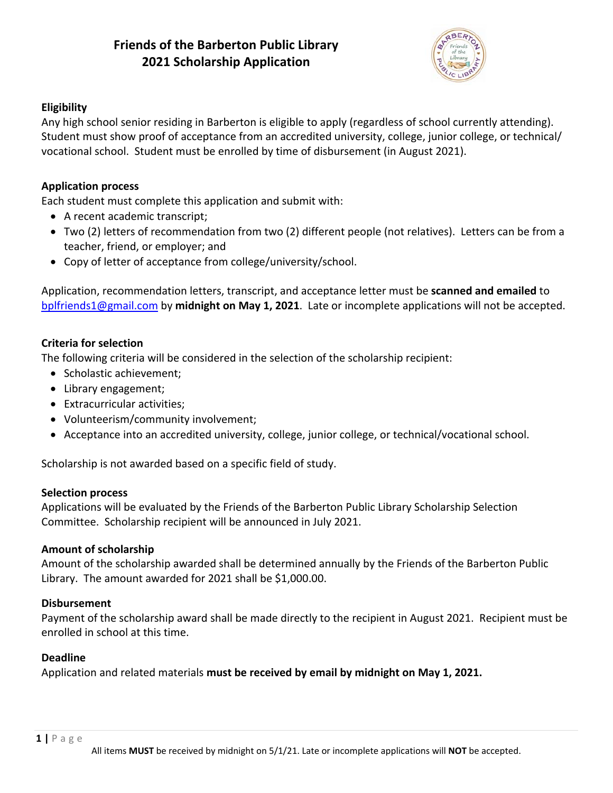# **Friends of the Barberton Public Library 2021 Scholarship Application**



## **Eligibility**

Any high school senior residing in Barberton is eligible to apply (regardless of school currently attending). Student must show proof of acceptance from an accredited university, college, junior college, or technical/ vocational school. Student must be enrolled by time of disbursement (in August 2021).

## **Application process**

Each student must complete this application and submit with:

- A recent academic transcript;
- Two (2) letters of recommendation from two (2) different people (not relatives). Letters can be from a teacher, friend, or employer; and
- Copy of letter of acceptance from college/university/school.

Application, recommendation letters, transcript, and acceptance letter must be **scanned and emailed** to bplfriends1@gmail.com by **midnight on May 1, 2021**. Late or incomplete applications will not be accepted.

### **Criteria for selection**

The following criteria will be considered in the selection of the scholarship recipient:

- Scholastic achievement;
- Library engagement;
- Extracurricular activities;
- Volunteerism/community involvement;
- Acceptance into an accredited university, college, junior college, or technical/vocational school.

Scholarship is not awarded based on a specific field of study.

#### **Selection process**

Applications will be evaluated by the Friends of the Barberton Public Library Scholarship Selection Committee. Scholarship recipient will be announced in July 2021.

#### **Amount of scholarship**

Amount of the scholarship awarded shall be determined annually by the Friends of the Barberton Public Library. The amount awarded for 2021 shall be \$1,000.00.

#### **Disbursement**

Payment of the scholarship award shall be made directly to the recipient in August 2021. Recipient must be enrolled in school at this time.

#### **Deadline**

Application and related materials **must be received by email by midnight on May 1, 2021.**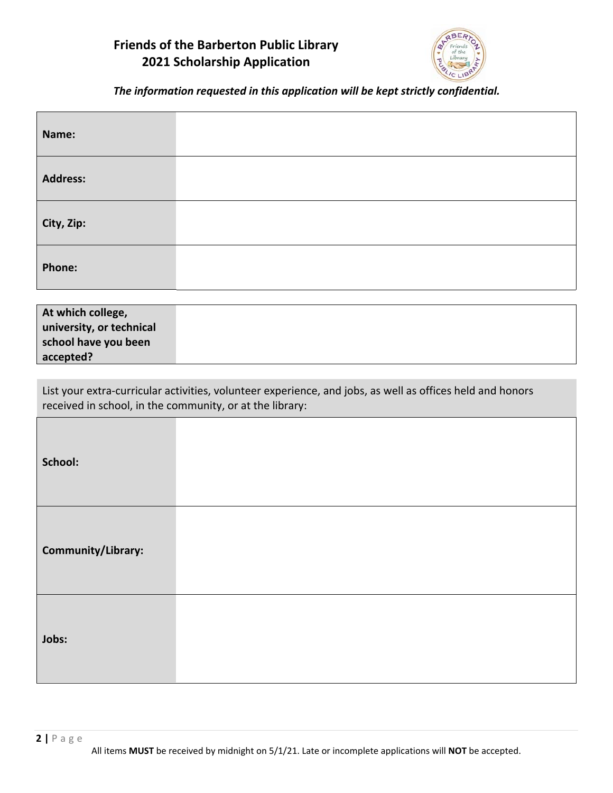# **Friends of the Barberton Public Library 2021 Scholarship Application**



*The information requested in this application will be kept strictly confidential.*

| Name:                                                                                                                                                                 |  |  |
|-----------------------------------------------------------------------------------------------------------------------------------------------------------------------|--|--|
| <b>Address:</b>                                                                                                                                                       |  |  |
| City, Zip:                                                                                                                                                            |  |  |
| Phone:                                                                                                                                                                |  |  |
| At which college,<br>university, or technical<br>school have you been<br>accepted?                                                                                    |  |  |
| List your extra-curricular activities, volunteer experience, and jobs, as well as offices held and honors<br>received in school, in the community, or at the library: |  |  |
| School:                                                                                                                                                               |  |  |
| Community/Library:                                                                                                                                                    |  |  |
| Jobs:                                                                                                                                                                 |  |  |